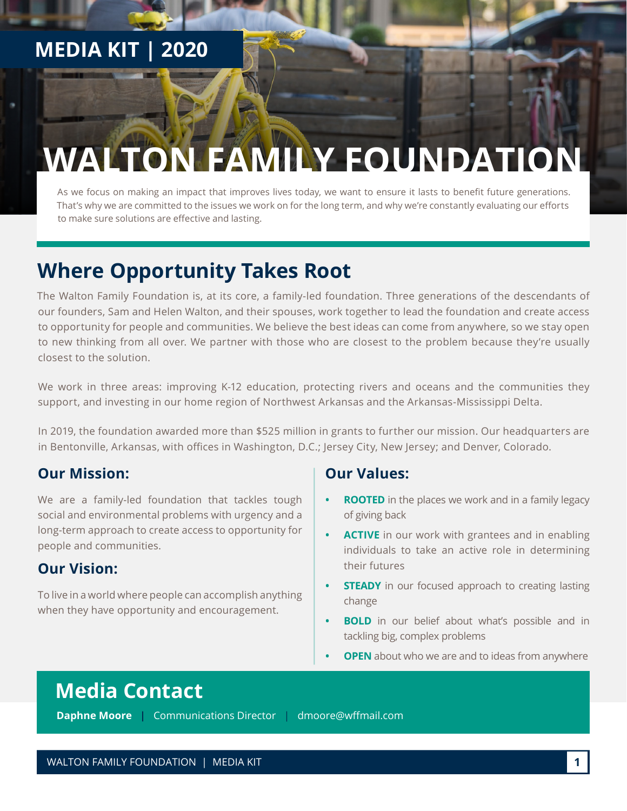## **MEDIA KIT | 2020**

# **WALTON FAMILY FOUNDATIO**

As we focus on making an impact that improves lives today, we want to ensure it lasts to benefit future generations. That's why we are committed to the issues we work on for the long term, and why we're constantly evaluating our efforts to make sure solutions are effective and lasting.

## **Where Opportunity Takes Root**

The Walton Family Foundation is, at its core, a family-led foundation. Three generations of the descendants of our founders, Sam and Helen Walton, and their spouses, work together to lead the foundation and create access to opportunity for people and communities. We believe the best ideas can come from anywhere, so we stay open to new thinking from all over. We partner with those who are closest to the problem because they're usually closest to the solution.

We work in three areas: improving K-12 education, protecting rivers and oceans and the communities they support, and investing in our home region of Northwest Arkansas and the Arkansas-Mississippi Delta.

In 2019, the foundation awarded more than \$525 million in grants to further our mission. Our headquarters are in Bentonville, Arkansas, with offices in Washington, D.C.; Jersey City, New Jersey; and Denver, Colorado.

#### **Our Mission:**

We are a family-led foundation that tackles tough social and environmental problems with urgency and a long-term approach to create access to opportunity for people and communities.

#### **Our Vision:**

To live in a world where people can accomplish anything when they have opportunity and encouragement.

#### **Our Values:**

- **• ROOTED** in the places we work and in a family legacy of giving back
- **• ACTIVE** in our work with grantees and in enabling individuals to take an active role in determining their futures
- **STEADY** in our focused approach to creating lasting change
- **BOLD** in our belief about what's possible and in tackling big, complex problems
- **PEN** about who we are and to ideas from anywhere

### **Media Contact**

**Daphne Moore |** Communications Director | [dmoore@wffmail.com](mailto:dmoore%40wffmail.com?subject=)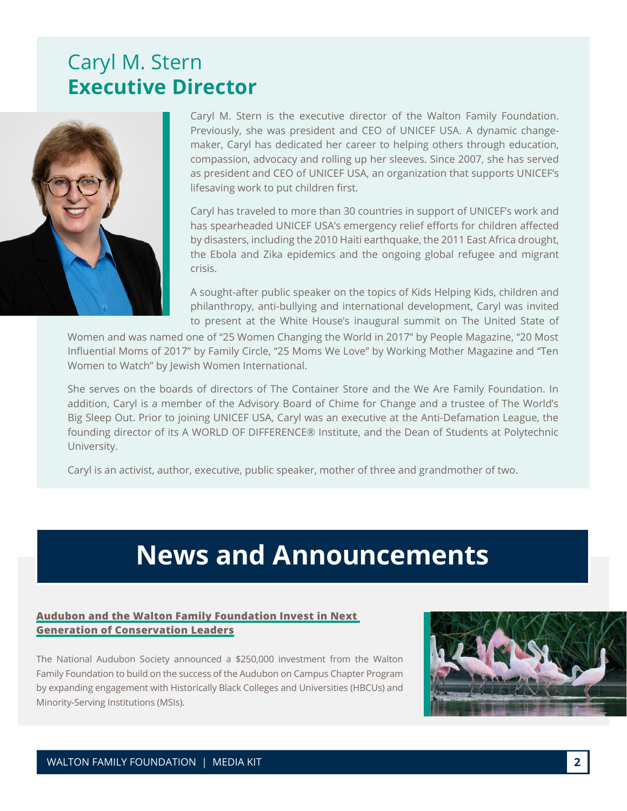### Caryl M. Stern **Executive Director**



Caryl M. Stern is the executive director of the Walton Family Foundation. Previously, she was president and CEO of UNICEF USA. A dynamic changemaker, Caryl has dedicated her career to helping others through education, compassion, advocacy and rolling up her sleeves. Since 2007, she has served as president and CEO of UNICEF USA, an organization that supports UNICEF's lifesaving work to put children first.

Caryl has traveled to more than 30 countries in support of UNICEF's work and has spearheaded UNICEF USA's emergency relief efforts for children affected by disasters, including the 2010 Haiti earthquake, the 2011 East Africa drought, the Ebola and Zika epidemics and the ongoing global refugee and migrant crisis.

A sought-after public speaker on the topics of Kids Helping Kids, children and philanthropy, anti-bullying and international development, Caryl was invited to present at the White House's inaugural summit on The United State of

Women and was named one of "25 Women Changing the World in 2017" by People Magazine, "20 Most Influential Moms of 2017" by Family Circle, "25 Moms We Love" by Working Mother Magazine and "Ten Women to Watch" by Jewish Women International.

She serves on the boards of directors of The Container Store and the We Are Family Foundation. In addition, Caryl is a member of the Advisory Board of Chime for Change and a trustee of The World's Big Sleep Out. Prior to joining UNICEF USA, Caryl was an executive at the Anti-Defamation League, the founding director of its A WORLD OF DIFFERENCE® Institute, and the Dean of Students at Polytechnic University.

Caryl is an activist, author, executive, public speaker, mother of three and grandmother of two.

## **News and Announcements**

#### **[Audubon and the Walton Family Foundation Invest in Next](https://www.waltonfamilyfoundation.org/about-us/newsroom/audubon-and-the-walton-family-foundation-invest-in-next-generation-of-conservation-leaders)  [Generation of Conservation Leaders](https://www.waltonfamilyfoundation.org/about-us/newsroom/audubon-and-the-walton-family-foundation-invest-in-next-generation-of-conservation-leaders)**

The National Audubon Society announced a \$250,000 investment from the Walton Family Foundation to build on the success of the Audubon on Campus Chapter Program by expanding engagement with Historically Black Colleges and Universities (HBCUs) and Minority-Serving Institutions (MSIs).

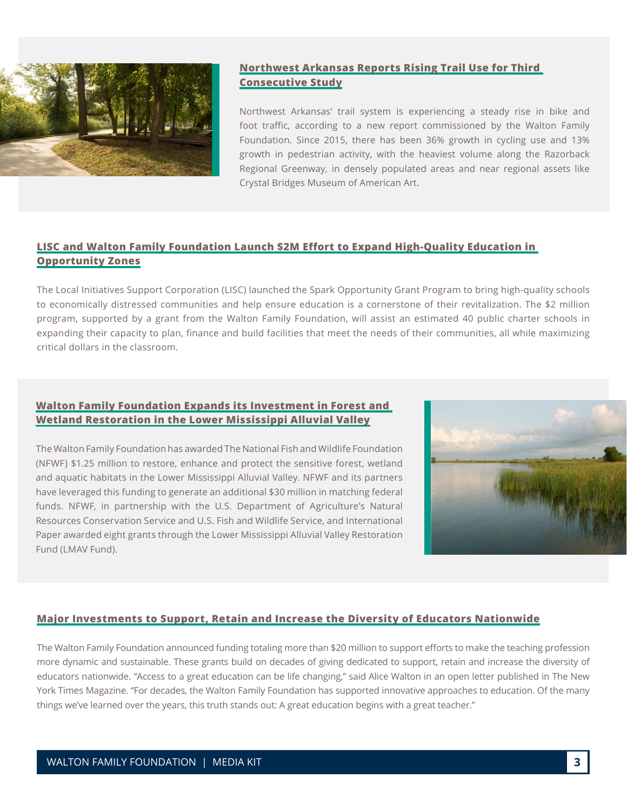

#### **[Northwest Arkansas Reports Rising Trail Use for Third](https://www.waltonfamilyfoundation.org/about-us/newsroom/northwest-arkansas-reports-rising-trail-use-for-third-consecutive-study)  [Consecutive Study](https://www.waltonfamilyfoundation.org/about-us/newsroom/northwest-arkansas-reports-rising-trail-use-for-third-consecutive-study)**

Northwest Arkansas' trail system is experiencing a steady rise in bike and foot traffic, according to a new report commissioned by the Walton Family Foundation. Since 2015, there has been 36% growth in cycling use and 13% growth in pedestrian activity, with the heaviest volume along the Razorback Regional Greenway, in densely populated areas and near regional assets like Crystal Bridges Museum of American Art.

#### **[LISC and Walton Family Foundation Launch \\$2M Effort to Expand High-Quality Education in](https://www.waltonfamilyfoundation.org/about-us/newsroom/lisc-and-walton-family-foundation-launch-2m-effort-to-expand-high-quality-education-in-opportunity-zones)  [Opportunity Zones](https://www.waltonfamilyfoundation.org/about-us/newsroom/lisc-and-walton-family-foundation-launch-2m-effort-to-expand-high-quality-education-in-opportunity-zones)**

The Local Initiatives Support Corporation (LISC) launched the Spark Opportunity Grant Program to bring high-quality schools to economically distressed communities and help ensure education is a cornerstone of their revitalization. The \$2 million program, supported by a grant from the Walton Family Foundation, will assist an estimated 40 public charter schools in expanding their capacity to plan, finance and build facilities that meet the needs of their communities, all while maximizing critical dollars in the classroom.

#### **[Walton Family Foundation Expands its Investment in Forest and](https://www.waltonfamilyfoundation.org/about-us/newsroom/walton-family-foundation-expands-its-investment-in-forest-and-wetland-restoration-in-the-lower-mississippi-alluvial-valley)  [Wetland Restoration in the Lower Mississippi Alluvial Valley](https://www.waltonfamilyfoundation.org/about-us/newsroom/walton-family-foundation-expands-its-investment-in-forest-and-wetland-restoration-in-the-lower-mississippi-alluvial-valley)**

The Walton Family Foundation has awarded The National Fish and Wildlife Foundation (NFWF) \$1.25 million to restore, enhance and protect the sensitive forest, wetland and aquatic habitats in the Lower Mississippi Alluvial Valley. NFWF and its partners have leveraged this funding to generate an additional \$30 million in matching federal funds. NFWF, in partnership with the U.S. Department of Agriculture's Natural Resources Conservation Service and U.S. Fish and Wildlife Service, and International Paper awarded eight grants through the Lower Mississippi Alluvial Valley Restoration Fund (LMAV Fund).



#### **[Major Investments to Support, Retain and Increase the Diversity of Educators Nationwide](https://www.waltonfamilyfoundation.org/about-us/newsroom/major-investments-to-support-retain-and-increase-the-diversity-of-educators-nationwide)**

The Walton Family Foundation announced funding totaling more than \$20 million to support efforts to make the teaching profession more dynamic and sustainable. These grants build on decades of giving dedicated to support, retain and increase the diversity of educators nationwide. "Access to a great education can be life changing," said Alice Walton in an open letter published in The New York Times Magazine. "For decades, the Walton Family Foundation has supported innovative approaches to education. Of the many things we've learned over the years, this truth stands out: A great education begins with a great teacher."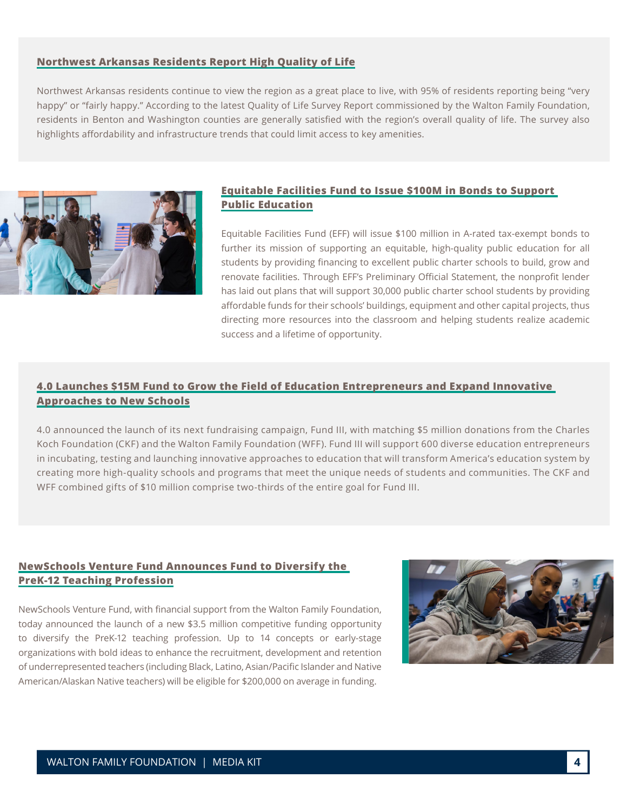#### **[Northwest Arkansas Residents Report High Quality of Life](https://www.waltonfamilyfoundation.org/about-us/newsroom/northwest-arkansas-residents-report-high-quality-of-life)**

Northwest Arkansas residents continue to view the region as a great place to live, with 95% of residents reporting being "very happy" or "fairly happy." According to the latest Quality of Life Survey Report commissioned by the Walton Family Foundation, residents in Benton and Washington counties are generally satisfied with the region's overall quality of life. The survey also highlights affordability and infrastructure trends that could limit access to key amenities.



#### **[Equitable Facilities Fund to Issue \\$100M in Bonds to Support](https://www.waltonfamilyfoundation.org/about-us/newsroom/equitable-facilities-fund-to-issue-100m-in-bonds-to-support-public-education)  [Public Education](https://www.waltonfamilyfoundation.org/about-us/newsroom/equitable-facilities-fund-to-issue-100m-in-bonds-to-support-public-education)**

Equitable Facilities Fund (EFF) will issue \$100 million in A-rated tax-exempt bonds to further its mission of supporting an equitable, high-quality public education for all students by providing financing to excellent public charter schools to build, grow and renovate facilities. Through EFF's Preliminary Official Statement, the nonprofit lender has laid out plans that will support 30,000 public charter school students by providing affordable funds for their schools' buildings, equipment and other capital projects, thus directing more resources into the classroom and helping students realize academic success and a lifetime of opportunity.

#### **[4.0 Launches \\$15M Fund to Grow the Field of Education Entrepreneurs and Expand Innovative](https://www.waltonfamilyfoundation.org/about-us/newsroom/4-0-launches-15m-fund-to-grow-the-field-of-education-entrepreneurs-and-expand-innovative-approaches-to-new-schools)  [Approaches to New Schools](https://www.waltonfamilyfoundation.org/about-us/newsroom/4-0-launches-15m-fund-to-grow-the-field-of-education-entrepreneurs-and-expand-innovative-approaches-to-new-schools)**

4.0 announced the launch of its next fundraising campaign, Fund III, with matching \$5 million donations from the Charles Koch Foundation (CKF) and the Walton Family Foundation (WFF). Fund III will support 600 diverse education entrepreneurs in incubating, testing and launching innovative approaches to education that will transform America's education system by creating more high-quality schools and programs that meet the unique needs of students and communities. The CKF and WFF combined gifts of \$10 million comprise two-thirds of the entire goal for Fund III.

#### **[NewSchools Venture Fund Announces Fund to Diversify the](https://www.waltonfamilyfoundation.org/about-us/newsroom/newschools-venture-fund-announces-funding-to-diversify-the-prek-12-teaching-profession)  [PreK-12 Teaching Profession](https://www.waltonfamilyfoundation.org/about-us/newsroom/newschools-venture-fund-announces-funding-to-diversify-the-prek-12-teaching-profession)**

NewSchools Venture Fund, with financial support from the Walton Family Foundation, today announced the launch of a new \$3.5 million competitive funding opportunity to diversify the PreK-12 teaching profession. Up to 14 concepts or early-stage organizations with bold ideas to enhance the recruitment, development and retention of underrepresented teachers (including Black, Latino, Asian/Pacific Islander and Native American/Alaskan Native teachers) will be eligible for \$200,000 on average in funding.